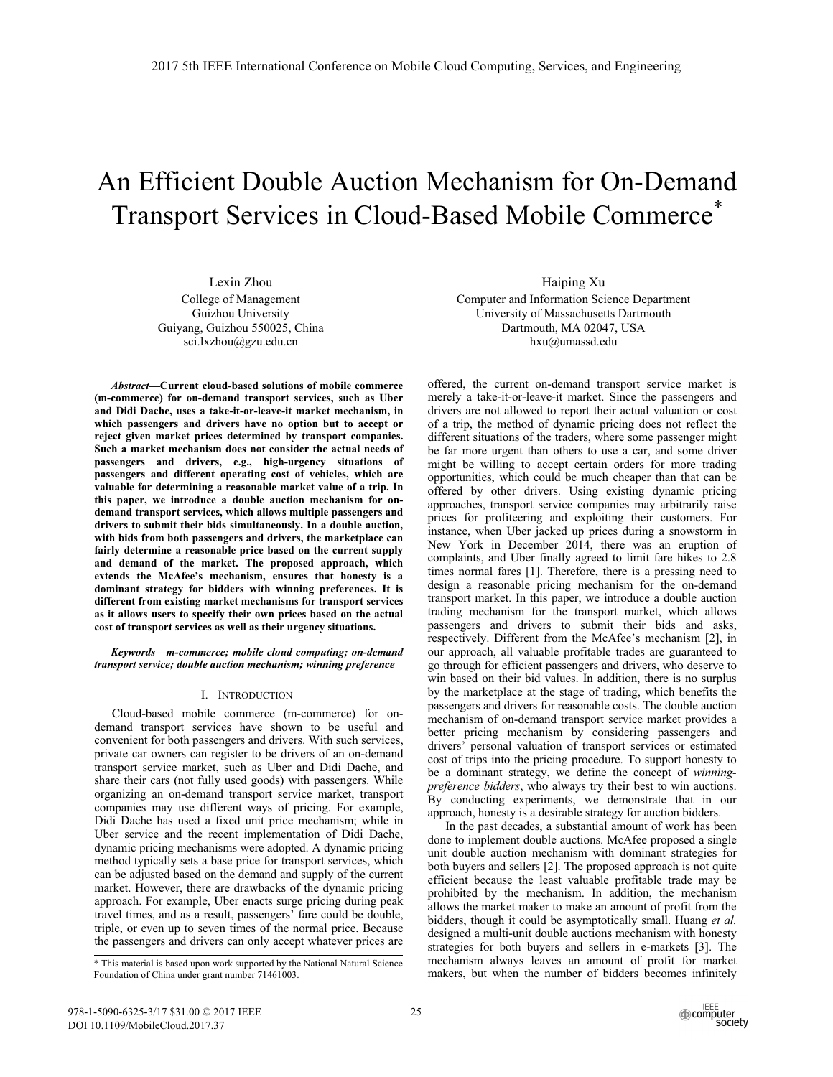# An Efficient Double Auction Mechanism for On-Demand Transport Services in Cloud-Based Mobile Commerce\*

Lexin Zhou

College of Management Guizhou University Guiyang, Guizhou 550025, China sci.lxzhou@gzu.edu.cn

*Abstract***—Current cloud-based solutions of mobile commerce (m-commerce) for on-demand transport services, such as Uber and Didi Dache, uses a take-it-or-leave-it market mechanism, in which passengers and drivers have no option but to accept or reject given market prices determined by transport companies. Such a market mechanism does not consider the actual needs of passengers and drivers, e.g., high-urgency situations of passengers and different operating cost of vehicles, which are valuable for determining a reasonable market value of a trip. In this paper, we introduce a double auction mechanism for ondemand transport services, which allows multiple passengers and drivers to submit their bids simultaneously. In a double auction, with bids from both passengers and drivers, the marketplace can fairly determine a reasonable price based on the current supply and demand of the market. The proposed approach, which extends the McAfee's mechanism, ensures that honesty is a dominant strategy for bidders with winning preferences. It is different from existing market mechanisms for transport services as it allows users to specify their own prices based on the actual cost of transport services as well as their urgency situations.**

*Keywords—m-commerce; mobile cloud computing; on-demand transport service; double auction mechanism; winning preference* 

#### I. INTRODUCTION

Cloud-based mobile commerce (m-commerce) for ondemand transport services have shown to be useful and convenient for both passengers and drivers. With such services, private car owners can register to be drivers of an on-demand transport service market, such as Uber and Didi Dache, and share their cars (not fully used goods) with passengers. While organizing an on-demand transport service market, transport companies may use different ways of pricing. For example, Didi Dache has used a fixed unit price mechanism; while in Uber service and the recent implementation of Didi Dache, dynamic pricing mechanisms were adopted. A dynamic pricing method typically sets a base price for transport services, which can be adjusted based on the demand and supply of the current market. However, there are drawbacks of the dynamic pricing approach. For example, Uber enacts surge pricing during peak travel times, and as a result, passengers' fare could be double, triple, or even up to seven times of the normal price. Because the passengers and drivers can only accept whatever prices are Haiping Xu

Computer and Information Science Department University of Massachusetts Dartmouth Dartmouth, MA 02047, USA hxu@umassd.edu

offered, the current on-demand transport service market is merely a take-it-or-leave-it market. Since the passengers and drivers are not allowed to report their actual valuation or cost of a trip, the method of dynamic pricing does not reflect the different situations of the traders, where some passenger might be far more urgent than others to use a car, and some driver might be willing to accept certain orders for more trading opportunities, which could be much cheaper than that can be offered by other drivers. Using existing dynamic pricing approaches, transport service companies may arbitrarily raise prices for profiteering and exploiting their customers. For instance, when Uber jacked up prices during a snowstorm in New York in December 2014, there was an eruption of complaints, and Uber finally agreed to limit fare hikes to 2.8 times normal fares [1]. Therefore, there is a pressing need to design a reasonable pricing mechanism for the on-demand transport market. In this paper, we introduce a double auction trading mechanism for the transport market, which allows passengers and drivers to submit their bids and asks, respectively. Different from the McAfee's mechanism [2], in our approach, all valuable profitable trades are guaranteed to go through for efficient passengers and drivers, who deserve to win based on their bid values. In addition, there is no surplus by the marketplace at the stage of trading, which benefits the passengers and drivers for reasonable costs. The double auction mechanism of on-demand transport service market provides a better pricing mechanism by considering passengers and drivers' personal valuation of transport services or estimated cost of trips into the pricing procedure. To support honesty to be a dominant strategy, we define the concept of *winningpreference bidders*, who always try their best to win auctions. By conducting experiments, we demonstrate that in our approach, honesty is a desirable strategy for auction bidders.

In the past decades, a substantial amount of work has been done to implement double auctions. McAfee proposed a single unit double auction mechanism with dominant strategies for both buyers and sellers [2]. The proposed approach is not quite efficient because the least valuable profitable trade may be prohibited by the mechanism. In addition, the mechanism allows the market maker to make an amount of profit from the bidders, though it could be asymptotically small. Huang *et al.* designed a multi-unit double auctions mechanism with honesty strategies for both buyers and sellers in e-markets [3]. The mechanism always leaves an amount of profit for market makers, but when the number of bidders becomes infinitely

<sup>\*</sup> This material is based upon work supported by the National Natural Science Foundation of China under grant number 71461003.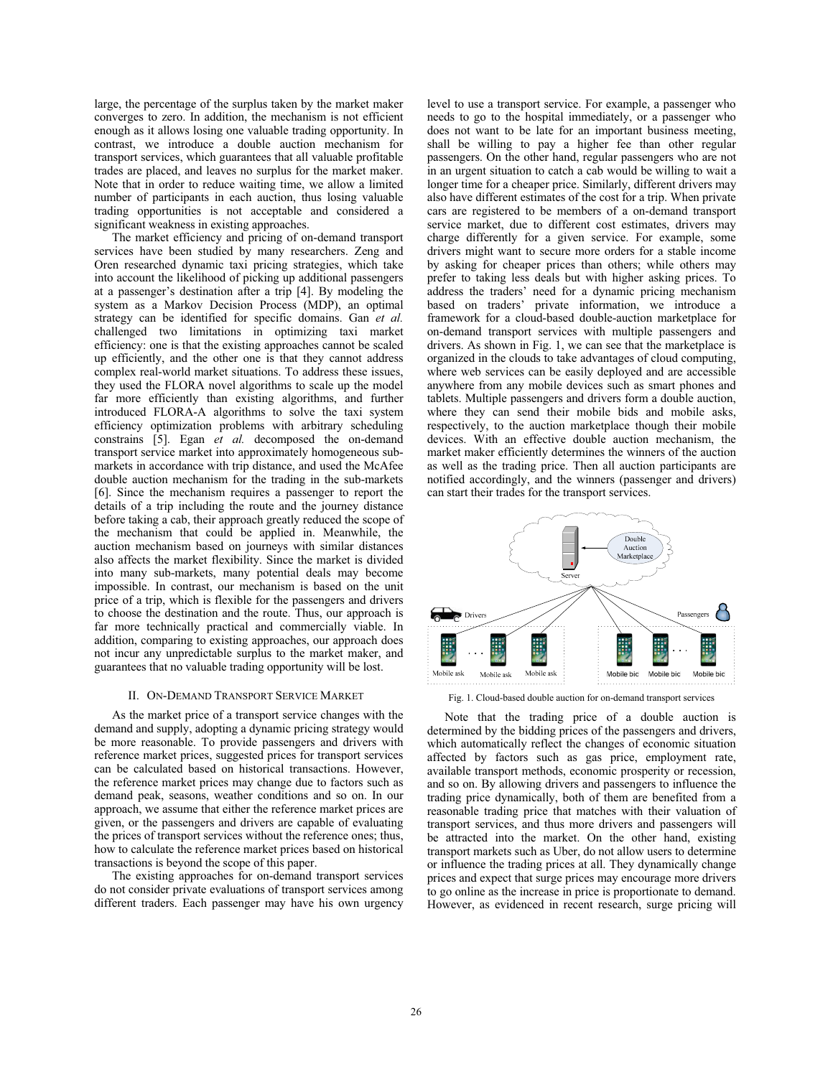large, the percentage of the surplus taken by the market maker converges to zero. In addition, the mechanism is not efficient enough as it allows losing one valuable trading opportunity. In contrast, we introduce a double auction mechanism for transport services, which guarantees that all valuable profitable trades are placed, and leaves no surplus for the market maker. Note that in order to reduce waiting time, we allow a limited number of participants in each auction, thus losing valuable trading opportunities is not acceptable and considered a significant weakness in existing approaches.

The market efficiency and pricing of on-demand transport services have been studied by many researchers. Zeng and Oren researched dynamic taxi pricing strategies, which take into account the likelihood of picking up additional passengers at a passenger's destination after a trip [4]. By modeling the system as a Markov Decision Process (MDP), an optimal strategy can be identified for specific domains. Gan *et al.* challenged two limitations in optimizing taxi market efficiency: one is that the existing approaches cannot be scaled up efficiently, and the other one is that they cannot address complex real-world market situations. To address these issues, they used the FLORA novel algorithms to scale up the model far more efficiently than existing algorithms, and further introduced FLORA-A algorithms to solve the taxi system efficiency optimization problems with arbitrary scheduling constrains [5]. Egan *et al.* decomposed the on-demand transport service market into approximately homogeneous submarkets in accordance with trip distance, and used the McAfee double auction mechanism for the trading in the sub-markets [6]. Since the mechanism requires a passenger to report the details of a trip including the route and the journey distance before taking a cab, their approach greatly reduced the scope of the mechanism that could be applied in. Meanwhile, the auction mechanism based on journeys with similar distances also affects the market flexibility. Since the market is divided into many sub-markets, many potential deals may become impossible. In contrast, our mechanism is based on the unit price of a trip, which is flexible for the passengers and drivers to choose the destination and the route. Thus, our approach is far more technically practical and commercially viable. In addition, comparing to existing approaches, our approach does not incur any unpredictable surplus to the market maker, and guarantees that no valuable trading opportunity will be lost.

#### II. ON-DEMAND TRANSPORT SERVICE MARKET

As the market price of a transport service changes with the demand and supply, adopting a dynamic pricing strategy would be more reasonable. To provide passengers and drivers with reference market prices, suggested prices for transport services can be calculated based on historical transactions. However, the reference market prices may change due to factors such as demand peak, seasons, weather conditions and so on. In our approach, we assume that either the reference market prices are given, or the passengers and drivers are capable of evaluating the prices of transport services without the reference ones; thus, how to calculate the reference market prices based on historical transactions is beyond the scope of this paper.

The existing approaches for on-demand transport services do not consider private evaluations of transport services among different traders. Each passenger may have his own urgency level to use a transport service. For example, a passenger who needs to go to the hospital immediately, or a passenger who does not want to be late for an important business meeting, shall be willing to pay a higher fee than other regular passengers. On the other hand, regular passengers who are not in an urgent situation to catch a cab would be willing to wait a longer time for a cheaper price. Similarly, different drivers may also have different estimates of the cost for a trip. When private cars are registered to be members of a on-demand transport service market, due to different cost estimates, drivers may charge differently for a given service. For example, some drivers might want to secure more orders for a stable income by asking for cheaper prices than others; while others may prefer to taking less deals but with higher asking prices. To address the traders' need for a dynamic pricing mechanism based on traders' private information, we introduce a framework for a cloud-based double-auction marketplace for on-demand transport services with multiple passengers and drivers. As shown in Fig. 1, we can see that the marketplace is organized in the clouds to take advantages of cloud computing, where web services can be easily deployed and are accessible anywhere from any mobile devices such as smart phones and tablets. Multiple passengers and drivers form a double auction, where they can send their mobile bids and mobile asks, respectively, to the auction marketplace though their mobile devices. With an effective double auction mechanism, the market maker efficiently determines the winners of the auction as well as the trading price. Then all auction participants are notified accordingly, and the winners (passenger and drivers) can start their trades for the transport services.



Fig. 1. Cloud-based double auction for on-demand transport services

Note that the trading price of a double auction is determined by the bidding prices of the passengers and drivers, which automatically reflect the changes of economic situation affected by factors such as gas price, employment rate, available transport methods, economic prosperity or recession, and so on. By allowing drivers and passengers to influence the trading price dynamically, both of them are benefited from a reasonable trading price that matches with their valuation of transport services, and thus more drivers and passengers will be attracted into the market. On the other hand, existing transport markets such as Uber, do not allow users to determine or influence the trading prices at all. They dynamically change prices and expect that surge prices may encourage more drivers to go online as the increase in price is proportionate to demand. However, as evidenced in recent research, surge pricing will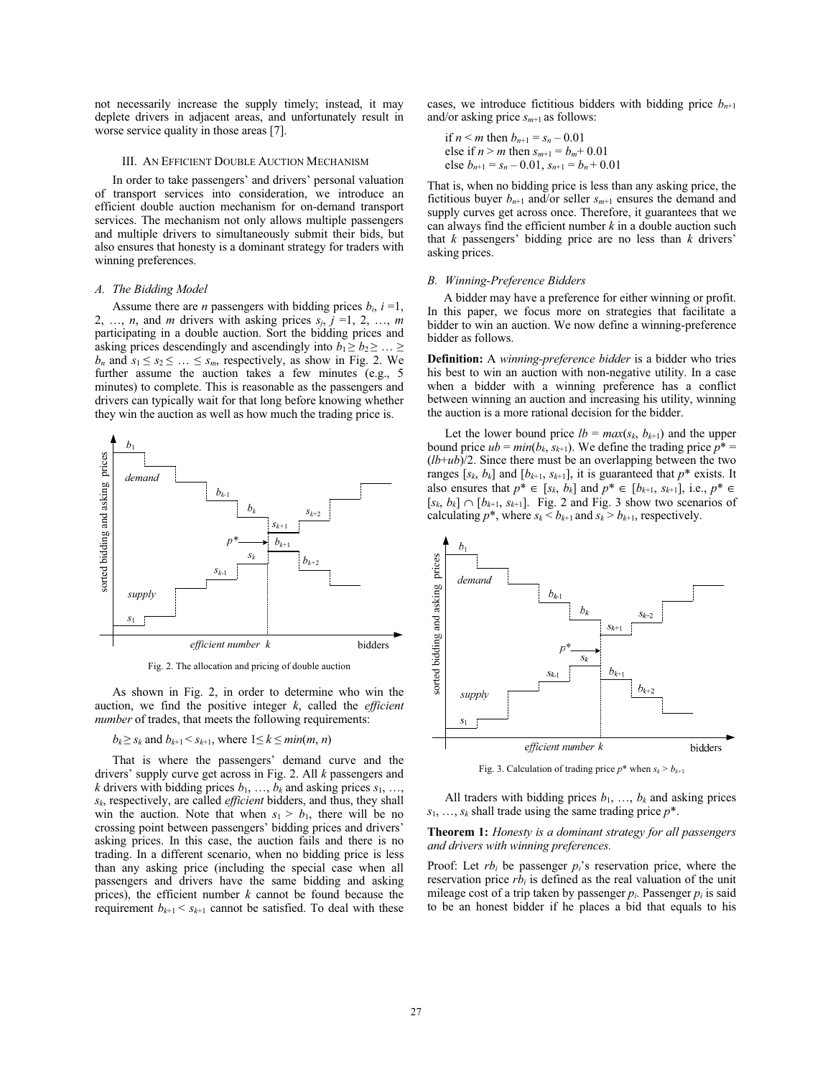not necessarily increase the supply timely; instead, it may deplete drivers in adjacent areas, and unfortunately result in worse service quality in those areas [7].

#### III. AN EFFICIENT DOUBLE AUCTION MECHANISM

In order to take passengers' and drivers' personal valuation of transport services into consideration, we introduce an efficient double auction mechanism for on-demand transport services. The mechanism not only allows multiple passengers and multiple drivers to simultaneously submit their bids, but also ensures that honesty is a dominant strategy for traders with winning preferences.

## *A. The Bidding Model*

Assume there are *n* passengers with bidding prices  $b_i$ ,  $i = 1$ , 2, ..., *n*, and *m* drivers with asking prices  $s_j$ ,  $j = 1, 2, ..., m$ participating in a double auction. Sort the bidding prices and asking prices descendingly and ascendingly into  $b_1 \geq b_2 \geq \ldots \geq b_n$  $b_n$  and  $s_1 \leq s_2 \leq \ldots \leq s_m$ , respectively, as show in Fig. 2. We further assume the auction takes a few minutes (e.g., 5 minutes) to complete. This is reasonable as the passengers and drivers can typically wait for that long before knowing whether they win the auction as well as how much the trading price is.



Fig. 2. The allocation and pricing of double auction

As shown in Fig. 2, in order to determine who win the auction, we find the positive integer *k*, called the *efficient number* of trades, that meets the following requirements:

 $b_k \geq s_k$  and  $b_{k+1} \leq s_{k+1}$ , where  $1 \leq k \leq min(m, n)$ 

That is where the passengers' demand curve and the drivers' supply curve get across in Fig. 2. All *k* passengers and *k* drivers with bidding prices  $b_1, \ldots, b_k$  and asking prices  $s_1, \ldots,$ *sk*, respectively, are called *efficient* bidders, and thus, they shall win the auction. Note that when  $s_1 > b_1$ , there will be no crossing point between passengers' bidding prices and drivers' asking prices. In this case, the auction fails and there is no trading. In a different scenario, when no bidding price is less than any asking price (including the special case when all passengers and drivers have the same bidding and asking prices), the efficient number *k* cannot be found because the requirement  $b_{k+1} < s_{k+1}$  cannot be satisfied. To deal with these cases, we introduce fictitious bidders with bidding price  $b_{n+1}$ and/or asking price *sm*+1 as follows:

if 
$$
n < m
$$
 then  $b_{n+1} = s_n - 0.01$   
else if  $n > m$  then  $s_{m+1} = b_m + 0.01$   
else  $b_{n+1} = s_n - 0.01$ ,  $s_{n+1} = b_n + 0.01$ 

That is, when no bidding price is less than any asking price, the fictitious buyer  $b_{n+1}$  and/or seller  $s_{m+1}$  ensures the demand and supply curves get across once. Therefore, it guarantees that we can always find the efficient number *k* in a double auction such that *k* passengers' bidding price are no less than *k* drivers' asking prices.

#### *B. Winning-Preference Bidders*

A bidder may have a preference for either winning or profit. In this paper, we focus more on strategies that facilitate a bidder to win an auction. We now define a winning-preference bidder as follows.

**Definition:** A *winning-preference bidder* is a bidder who tries his best to win an auction with non-negative utility. In a case when a bidder with a winning preference has a conflict between winning an auction and increasing his utility, winning the auction is a more rational decision for the bidder.

Let the lower bound price  $lb = max(s_k, b_{k+1})$  and the upper bound price  $ub = min(b_k, s_{k+1})$ . We define the trading price  $p^* =$  $(lb+ub)/2$ . Since there must be an overlapping between the two ranges  $[s_k, b_k]$  and  $[b_{k+1}, s_{k+1}]$ , it is guaranteed that  $p^*$  exists. It also ensures that *p*<sup>\*</sup> ∈ [*s<sub>k</sub>*, *b<sub>k</sub>*] and *p*<sup>\*</sup> ∈ [*b<sub>k+1</sub>, <i>s<sub>k+1</sub>*], i.e., *p*<sup>\*</sup> ∈  $[s_k, b_k] \cap [b_{k+1}, s_{k+1}]$ . Fig. 2 and Fig. 3 show two scenarios of calculating  $p^*$ , where  $s_k < b_{k+1}$  and  $s_k > b_{k+1}$ , respectively.



Fig. 3. Calculation of trading price  $p^*$  when  $s_k > b_{k+1}$ 

All traders with bidding prices  $b_1$ , ...,  $b_k$  and asking prices *s*1, …, *sk* shall trade using the same trading price *p*\*.

## **Theorem 1:** *Honesty is a dominant strategy for all passengers and drivers with winning preferences.*

Proof: Let *rbi* be passenger *pi*'s reservation price, where the reservation price  $rb_i$  is defined as the real valuation of the unit mileage cost of a trip taken by passenger  $p_i$ . Passenger  $p_i$  is said to be an honest bidder if he places a bid that equals to his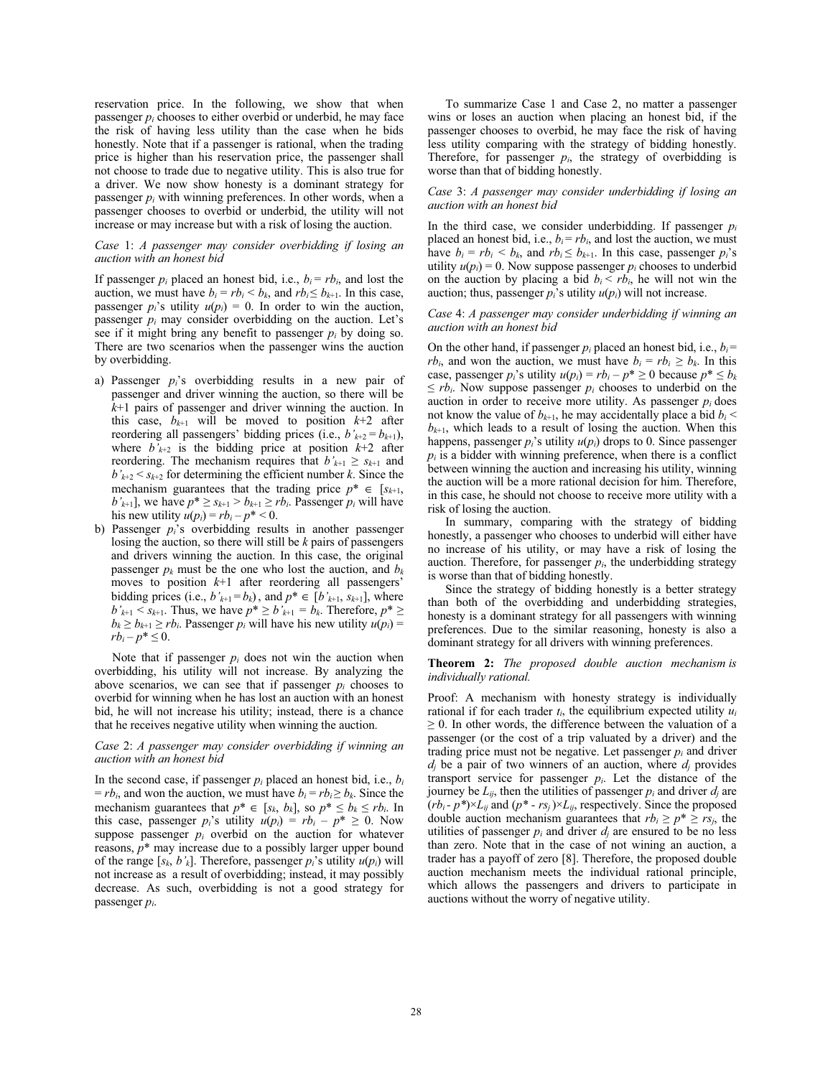reservation price. In the following, we show that when passenger *pi* chooses to either overbid or underbid, he may face the risk of having less utility than the case when he bids honestly. Note that if a passenger is rational, when the trading price is higher than his reservation price, the passenger shall not choose to trade due to negative utility. This is also true for a driver. We now show honesty is a dominant strategy for passenger  $p_i$  with winning preferences. In other words, when a passenger chooses to overbid or underbid, the utility will not increase or may increase but with a risk of losing the auction.

# *Case* 1: *A passenger may consider overbidding if losing an auction with an honest bid*

If passenger  $p_i$  placed an honest bid, i.e.,  $b_i = rb_i$ , and lost the auction, we must have  $b_i = rb_i < b_k$ , and  $rb_i \leq b_{k+1}$ . In this case, passenger  $p_i$ 's utility  $u(p_i) = 0$ . In order to win the auction, passenger  $p_i$  may consider overbidding on the auction. Let's see if it might bring any benefit to passenger *pi* by doing so. There are two scenarios when the passenger wins the auction by overbidding.

- a) Passenger *pi*'s overbidding results in a new pair of passenger and driver winning the auction, so there will be *k*+1 pairs of passenger and driver winning the auction. In this case,  $b_{k+1}$  will be moved to position  $k+2$  after reordering all passengers' bidding prices (i.e.,  $b'_{k+2} = b_{k+1}$ ), where  $b'_{k+2}$  is the bidding price at position  $k+2$  after reordering. The mechanism requires that  $b'_{k+1} \geq s_{k+1}$  and  $b'_{k+2} < s_{k+2}$  for determining the efficient number *k*. Since the mechanism guarantees that the trading price  $p^* \in [s_{k+1}]$ ,  $b'_{k+1}$ , we have  $p^* \ge s_{k+1} > b_{k+1} \ge rb_i$ . Passenger  $p_i$  will have his new utility  $u(p_i) = rb_i - p^* < 0$ .
- b) Passenger *pi*'s overbidding results in another passenger losing the auction, so there will still be *k* pairs of passengers and drivers winning the auction. In this case, the original passenger  $p_k$  must be the one who lost the auction, and  $b_k$ moves to position *k*+1 after reordering all passengers' bidding prices (i.e.,  $b'_{k+1} = b_k$ ), and  $p^* \in [b'_{k+1}, s_{k+1}]$ , where  $b'_{k+1} < s_{k+1}$ . Thus, we have  $p^* \ge b'_{k+1} = b_k$ . Therefore,  $p^* \ge b'_{k+1}$  $b_k \ge b_{k+1} \ge rb_i$ . Passenger  $p_i$  will have his new utility  $u(p_i) =$  $rb_i - p^* \leq 0.$

Note that if passenger *pi* does not win the auction when overbidding, his utility will not increase. By analyzing the above scenarios, we can see that if passenger *pi* chooses to overbid for winning when he has lost an auction with an honest bid, he will not increase his utility; instead, there is a chance that he receives negative utility when winning the auction.

## *Case* 2: *A passenger may consider overbidding if winning an auction with an honest bid*

In the second case, if passenger *pi* placed an honest bid, i.e., *bi*   $= rb_i$ , and won the auction, we must have  $b_i = rb_i \ge b_k$ . Since the mechanism guarantees that  $p^* \in [s_k, b_k]$ , so  $p^* \leq b_k \leq rb_i$ . In this case, passenger  $p_i$ 's utility  $u(p_i) = rb_i - p^* \ge 0$ . Now suppose passenger  $p_i$  overbid on the auction for whatever reasons, *p*\* may increase due to a possibly larger upper bound of the range  $[s_k, b'_k]$ . Therefore, passenger  $p_i$ 's utility  $u(p_i)$  will not increase as a result of overbidding; instead, it may possibly decrease. As such, overbidding is not a good strategy for passenger *pi*.

To summarize Case 1 and Case 2, no matter a passenger wins or loses an auction when placing an honest bid, if the passenger chooses to overbid, he may face the risk of having less utility comparing with the strategy of bidding honestly. Therefore, for passenger  $p_i$ , the strategy of overbidding is worse than that of bidding honestly.

## *Case* 3: *A passenger may consider underbidding if losing an auction with an honest bid*

In the third case, we consider underbidding. If passenger *pi* placed an honest bid, i.e.,  $b_i = rb_i$ , and lost the auction, we must have  $b_i = rb_i < b_k$ , and  $rb_i \leq b_{k+1}$ . In this case, passenger  $p_i$ 's utility  $u(p_i) = 0$ . Now suppose passenger  $p_i$  chooses to underbid on the auction by placing a bid  $b_i < rb_i$ , he will not win the auction; thus, passenger  $p_i$ 's utility  $u(p_i)$  will not increase.

# *Case* 4: *A passenger may consider underbidding if winning an auction with an honest bid*

On the other hand, if passenger  $p_i$  placed an honest bid, i.e.,  $b_i =$ *rb<sub>i</sub>*, and won the auction, we must have  $b_i = rb_i \ge b_k$ . In this case, passenger  $p_i$ 's utility  $u(p_i) = rb_i - p^* \ge 0$  because  $p^* \le b_k$  $\leq$  *rb<sub>i</sub>*. Now suppose passenger  $p_i$  chooses to underbid on the auction in order to receive more utility. As passenger  $p_i$  does not know the value of  $b_{k+1}$ , he may accidentally place a bid  $b_i$  <  $b_{k+1}$ , which leads to a result of losing the auction. When this happens, passenger  $p_i$ 's utility  $u(p_i)$  drops to 0. Since passenger  $p_i$  is a bidder with winning preference, when there is a conflict between winning the auction and increasing his utility, winning the auction will be a more rational decision for him. Therefore, in this case, he should not choose to receive more utility with a risk of losing the auction.

In summary, comparing with the strategy of bidding honestly, a passenger who chooses to underbid will either have no increase of his utility, or may have a risk of losing the auction. Therefore, for passenger  $p_i$ , the underbidding strategy is worse than that of bidding honestly.

Since the strategy of bidding honestly is a better strategy than both of the overbidding and underbidding strategies, honesty is a dominant strategy for all passengers with winning preferences. Due to the similar reasoning, honesty is also a dominant strategy for all drivers with winning preferences.

## **Theorem 2:** *The proposed double auction mechanism is individually rational.*

Proof: A mechanism with honesty strategy is individually rational if for each trader  $t_i$ , the equilibrium expected utility  $u_i$  $\geq$  0. In other words, the difference between the valuation of a passenger (or the cost of a trip valuated by a driver) and the trading price must not be negative. Let passenger  $p_i$  and driver  $d_i$  be a pair of two winners of an auction, where  $d_i$  provides transport service for passenger *pi*. Let the distance of the journey be  $L_{ij}$ , then the utilities of passenger  $p_i$  and driver  $d_i$  are  $(rb_i - p^*) \times L_{ij}$  and  $(p^* - rs_j) \times L_{ij}$ , respectively. Since the proposed double auction mechanism guarantees that  $rb_i \geq p^* \geq rs_j$ , the utilities of passenger  $p_i$  and driver  $d_i$  are ensured to be no less than zero. Note that in the case of not wining an auction, a trader has a payoff of zero [8]. Therefore, the proposed double auction mechanism meets the individual rational principle, which allows the passengers and drivers to participate in auctions without the worry of negative utility.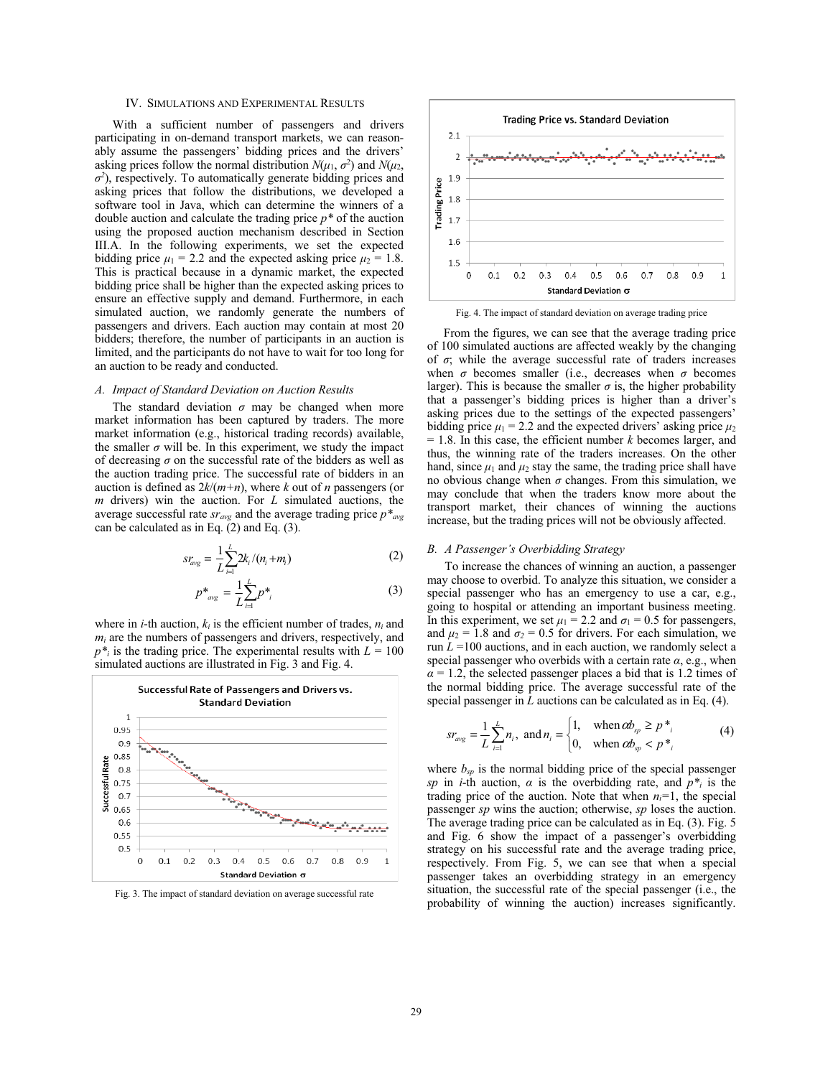# IV. SIMULATIONS AND EXPERIMENTAL RESULTS

With a sufficient number of passengers and drivers participating in on-demand transport markets, we can reasonably assume the passengers' bidding prices and the drivers' asking prices follow the normal distribution  $N(\mu_1, \sigma^2)$  and  $N(\mu_2, \sigma^2)$  $\sigma^2$ ), respectively. To automatically generate bidding prices and asking prices that follow the distributions, we developed a software tool in Java, which can determine the winners of a double auction and calculate the trading price *p\** of the auction using the proposed auction mechanism described in Section III.A. In the following experiments, we set the expected bidding price  $\mu_1 = 2.2$  and the expected asking price  $\mu_2 = 1.8$ . This is practical because in a dynamic market, the expected bidding price shall be higher than the expected asking prices to ensure an effective supply and demand. Furthermore, in each simulated auction, we randomly generate the numbers of passengers and drivers. Each auction may contain at most 20 bidders; therefore, the number of participants in an auction is limited, and the participants do not have to wait for too long for an auction to be ready and conducted.

# *A. Impact of Standard Deviation on Auction Results*

The standard deviation  $\sigma$  may be changed when more market information has been captured by traders. The more market information (e.g., historical trading records) available, the smaller  $\sigma$  will be. In this experiment, we study the impact of decreasing  $\sigma$  on the successful rate of the bidders as well as the auction trading price. The successful rate of bidders in an auction is defined as 2*k*/(*m+n*), where *k* out of *n* passengers (or *m* drivers) win the auction. For *L* simulated auctions, the average successful rate  $sr_{avg}$  and the average trading price  $p^*_{avg}$ can be calculated as in Eq.  $(2)$  and Eq.  $(3)$ .

$$
sr_{avg} = \frac{1}{L} \sum_{i=1}^{L} 2k_i / (n_i + m_i)
$$
 (2)

$$
p^*_{avg} = \frac{1}{L} \sum_{i=1}^{L} p^*_{i}
$$
 (3)

where in *i*-th auction,  $k_i$  is the efficient number of trades,  $n_i$  and  $m<sub>i</sub>$  are the numbers of passengers and drivers, respectively, and  $p^*$  is the trading price. The experimental results with  $L = 100$ simulated auctions are illustrated in Fig. 3 and Fig. 4.



Fig. 3. The impact of standard deviation on average successful rate



Fig. 4. The impact of standard deviation on average trading price

From the figures, we can see that the average trading price of 100 simulated auctions are affected weakly by the changing of  $\sigma$ ; while the average successful rate of traders increases when  $\sigma$  becomes smaller (i.e., decreases when  $\sigma$  becomes larger). This is because the smaller  $\sigma$  is, the higher probability that a passenger's bidding prices is higher than a driver's asking prices due to the settings of the expected passengers' bidding price  $\mu_1 = 2.2$  and the expected drivers' asking price  $\mu_2$  $= 1.8$ . In this case, the efficient number *k* becomes larger, and thus, the winning rate of the traders increases. On the other hand, since  $\mu_1$  and  $\mu_2$  stay the same, the trading price shall have no obvious change when  $\sigma$  changes. From this simulation, we may conclude that when the traders know more about the transport market, their chances of winning the auctions increase, but the trading prices will not be obviously affected.

## *B. A Passenger's Overbidding Strategy*

To increase the chances of winning an auction, a passenger may choose to overbid. To analyze this situation, we consider a special passenger who has an emergency to use a car, e.g., going to hospital or attending an important business meeting. In this experiment, we set  $\mu_1 = 2.2$  and  $\sigma_1 = 0.5$  for passengers, and  $\mu_2 = 1.8$  and  $\sigma_2 = 0.5$  for drivers. For each simulation, we run  $L = 100$  auctions, and in each auction, we randomly select a special passenger who overbids with a certain rate  $\alpha$ , e.g., when  $\alpha$  = 1.2, the selected passenger places a bid that is 1.2 times of the normal bidding price. The average successful rate of the special passenger in *L* auctions can be calculated as in Eq. (4).

$$
sr_{avg} = \frac{1}{L} \sum_{i=1}^{L} n_i, \text{ and } n_i = \begin{cases} 1, & \text{when } \alpha b_{sp} \ge p^{*}, \\ 0, & \text{when } \alpha b_{sp} < p^{*}, \end{cases} \tag{4}
$$

where  $b_{sp}$  is the normal bidding price of the special passenger *sp* in *i*-th auction,  $\alpha$  is the overbidding rate, and  $p^*$  is the trading price of the auction. Note that when  $n_i=1$ , the special passenger *sp* wins the auction; otherwise, *sp* loses the auction. The average trading price can be calculated as in Eq. (3). Fig. 5 and Fig. 6 show the impact of a passenger's overbidding strategy on his successful rate and the average trading price, respectively. From Fig. 5, we can see that when a special passenger takes an overbidding strategy in an emergency situation, the successful rate of the special passenger (i.e., the probability of winning the auction) increases significantly.